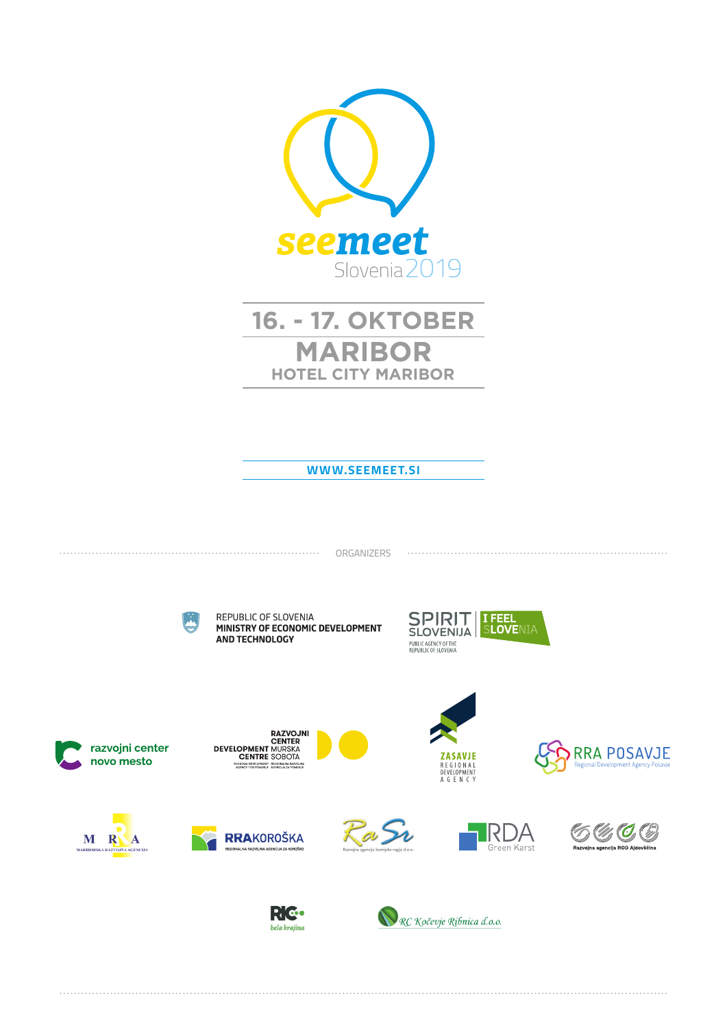

# **16. - 17. OKTOBER MARIBOR HOTEL CITY MARIBOR**

#### **WWW.SEEMEET.SI**